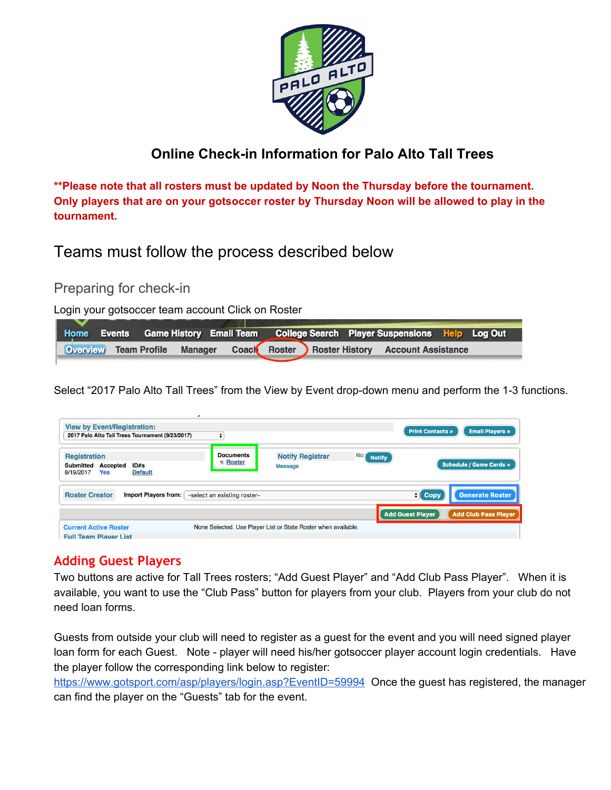

### **Online Check-in Information for Palo Alto Tall Trees**

**\*\*Please note that all rosters must be updated by Noon the Thursday before the tournament. Only players that are on your gotsoccer roster by Thursday Noon will be allowed to play in the tournament.**

Teams must follow the process described below

Preparing for check-in

Login your gotsoccer team account Click on Roster

|  |  |  |  | Home Events Game History Email Team College Search Player Suspensions Help Log Out |  |
|--|--|--|--|------------------------------------------------------------------------------------|--|
|  |  |  |  | Overview Team Profile Manager Coach Roster Roster History Account Assistance       |  |

Select "2017 Palo Alto Tall Trees" from the View by Event drop-down menu and perform the 1-3 functions.

| <b>View by Event/Registration:</b><br>2017 Palo Alto Tall Trees Tournament (9/23/2017)                   |                                  | <b>Email Players »</b><br><b>Print Contacts »</b>              |                     |                         |                             |
|----------------------------------------------------------------------------------------------------------|----------------------------------|----------------------------------------------------------------|---------------------|-------------------------|-----------------------------|
| <b>Registration</b><br><b>Submitted</b><br>ID#s<br>Accepted<br><b>Yes</b><br>8/19/2017<br><b>Default</b> | <b>Documents</b><br>$\pi$ Roster | <b>Notify Registrar</b><br><b>Message</b>                      | No<br><b>Notify</b> |                         | Schedule / Game Cards »     |
| <b>Roster Creator</b><br><b>Import Players from:</b>                                                     | -select an existing roster-      |                                                                |                     | $\mathbf{H}$ Copy       | <b>Generate Roster</b>      |
|                                                                                                          |                                  |                                                                |                     | <b>Add Guest Player</b> | <b>Add Club Pass Player</b> |
| <b>Current Active Roster</b><br><b>Full Team Player List</b>                                             |                                  | None Selected. Use Player List or State Roster when available. |                     |                         |                             |

### **Adding Guest Players**

Two buttons are active for Tall Trees rosters; "Add Guest Player" and "Add Club Pass Player". When it is available, you want to use the "Club Pass" button for players from your club. Players from your club do not need loan forms.

Guests from outside your club will need to register as a guest for the event and you will need signed player loan form for each Guest. Note - player will need his/her gotsoccer player account login credentials. Have the player follow the corresponding link below to register:

<https://www.gotsport.com/asp/players/login.asp?EventID=59994> Once the guest has registered, the manager can find the player on the "Guests" tab for the event.